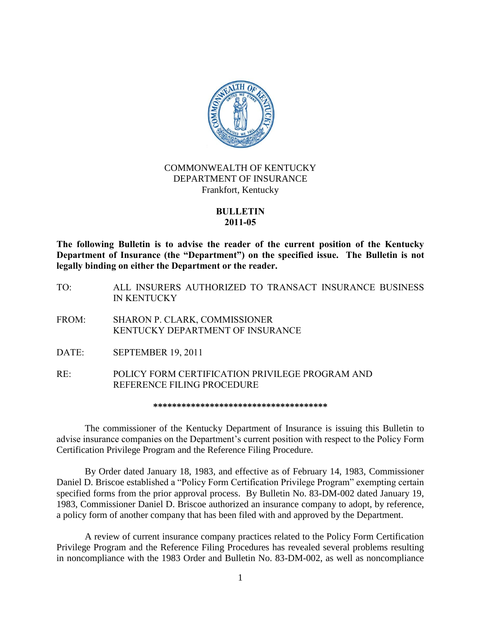

## COMMONWEALTH OF KENTUCKY DEPARTMENT OF INSURANCE Frankfort, Kentucky

## **BULLETIN 2011-05**

**The following Bulletin is to advise the reader of the current position of the Kentucky Department of Insurance (the "Department") on the specified issue. The Bulletin is not legally binding on either the Department or the reader.**

- TO: ALL INSURERS AUTHORIZED TO TRANSACT INSURANCE BUSINESS IN KENTUCKY
- FROM: SHARON P. CLARK, COMMISSIONER KENTUCKY DEPARTMENT OF INSURANCE
- DATE: SEPTEMBER 19, 2011
- RE: POLICY FORM CERTIFICATION PRIVILEGE PROGRAM AND REFERENCE FILING PROCEDURE

**\*\*\*\*\*\*\*\*\*\*\*\*\*\*\*\*\*\*\*\*\*\*\*\*\*\*\*\*\*\*\*\*\*\*\*\*\***

The commissioner of the Kentucky Department of Insurance is issuing this Bulletin to advise insurance companies on the Department's current position with respect to the Policy Form Certification Privilege Program and the Reference Filing Procedure.

By Order dated January 18, 1983, and effective as of February 14, 1983, Commissioner Daniel D. Briscoe established a "Policy Form Certification Privilege Program" exempting certain specified forms from the prior approval process. By Bulletin No. 83-DM-002 dated January 19, 1983, Commissioner Daniel D. Briscoe authorized an insurance company to adopt, by reference, a policy form of another company that has been filed with and approved by the Department.

A review of current insurance company practices related to the Policy Form Certification Privilege Program and the Reference Filing Procedures has revealed several problems resulting in noncompliance with the 1983 Order and Bulletin No. 83-DM-002, as well as noncompliance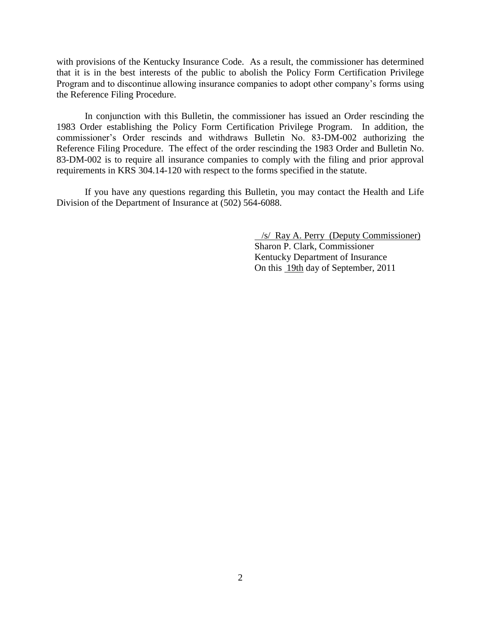with provisions of the Kentucky Insurance Code. As a result, the commissioner has determined that it is in the best interests of the public to abolish the Policy Form Certification Privilege Program and to discontinue allowing insurance companies to adopt other company's forms using the Reference Filing Procedure.

In conjunction with this Bulletin, the commissioner has issued an Order rescinding the 1983 Order establishing the Policy Form Certification Privilege Program. In addition, the commissioner's Order rescinds and withdraws Bulletin No. 83-DM-002 authorizing the Reference Filing Procedure. The effect of the order rescinding the 1983 Order and Bulletin No. 83-DM-002 is to require all insurance companies to comply with the filing and prior approval requirements in KRS 304.14-120 with respect to the forms specified in the statute.

If you have any questions regarding this Bulletin, you may contact the Health and Life Division of the Department of Insurance at (502) 564-6088.

> /s/ Ray A. Perry (Deputy Commissioner) Sharon P. Clark, Commissioner Kentucky Department of Insurance On this 19th day of September, 2011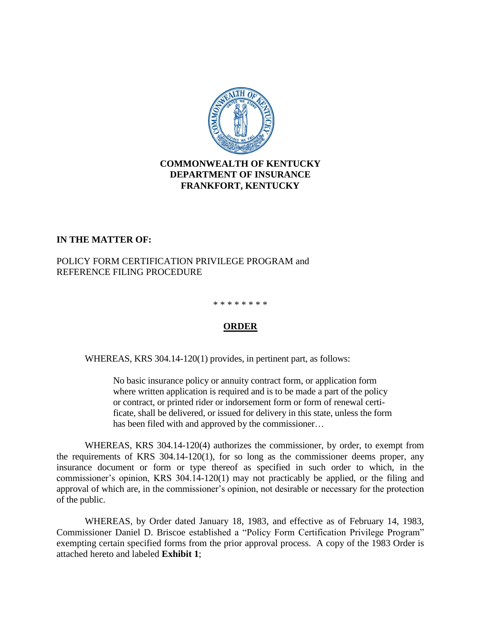

## **COMMONWEALTH OF KENTUCKY DEPARTMENT OF INSURANCE FRANKFORT, KENTUCKY**

## **IN THE MATTER OF:**

## POLICY FORM CERTIFICATION PRIVILEGE PROGRAM and REFERENCE FILING PROCEDURE

#### \* \* \* \* \* \* \* \*

## **ORDER**

WHEREAS, KRS 304.14-120(1) provides, in pertinent part, as follows:

No basic insurance policy or annuity contract form, or application form where written application is required and is to be made a part of the policy or contract, or printed rider or indorsement form or form of renewal certificate, shall be delivered, or issued for delivery in this state, unless the form has been filed with and approved by the commissioner…

WHEREAS, KRS 304.14-120(4) authorizes the commissioner, by order, to exempt from the requirements of KRS 304.14-120(1), for so long as the commissioner deems proper, any insurance document or form or type thereof as specified in such order to which, in the commissioner's opinion, KRS 304.14-120(1) may not practicably be applied, or the filing and approval of which are, in the commissioner's opinion, not desirable or necessary for the protection of the public.

WHEREAS, by Order dated January 18, 1983, and effective as of February 14, 1983, Commissioner Daniel D. Briscoe established a "Policy Form Certification Privilege Program" exempting certain specified forms from the prior approval process. A copy of the 1983 Order is attached hereto and labeled **Exhibit 1**;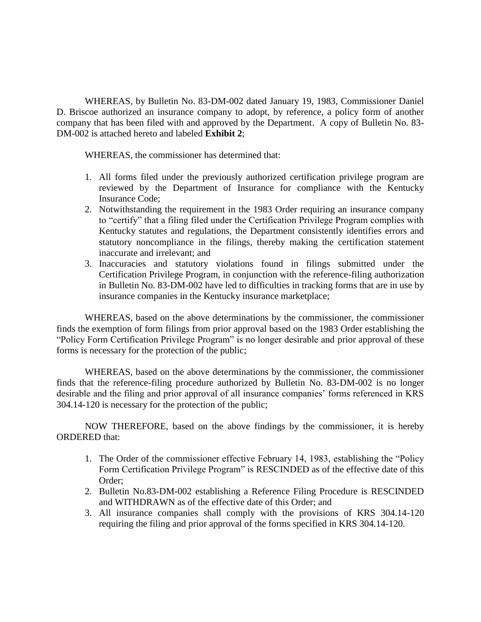WHEREAS, by Bulletin No. 83-DM-002 dated January 19, 1983, Commissioner Daniel D. Briscoe authorized an insurance company to adopt, by reference, a policy form of another company that has been filed with and approved by the Department. A copy of Bulletin No. 83- DM-002 is attached hereto and labeled **Exhibit 2**;

WHEREAS, the commissioner has determined that:

- 1. All forms filed under the previously authorized certification privilege program are reviewed by the Department of Insurance for compliance with the Kentucky Insurance Code;
- 2. Notwithstanding the requirement in the 1983 Order requiring an insurance company to "certify" that a filing filed under the Certification Privilege Program complies with Kentucky statutes and regulations, the Department consistently identifies errors and statutory noncompliance in the filings, thereby making the certification statement inaccurate and irrelevant; and
- 3. Inaccuracies and statutory violations found in filings submitted under the Certification Privilege Program, in conjunction with the reference-filing authorization in Bulletin No. 83-DM-002 have led to difficulties in tracking forms that are in use by insurance companies in the Kentucky insurance marketplace;

WHEREAS, based on the above determinations by the commissioner, the commissioner finds the exemption of form filings from prior approval based on the 1983 Order establishing the "Policy Form Certification Privilege Program" is no longer desirable and prior approval of these forms is necessary for the protection of the public;

WHEREAS, based on the above determinations by the commissioner, the commissioner finds that the reference-filing procedure authorized by Bulletin No. 83-DM-002 is no longer desirable and the filing and prior approval of all insurance companies' forms referenced in KRS 304.14-120 is necessary for the protection of the public;

NOW THEREFORE, based on the above findings by the commissioner, it is hereby ORDERED that:

- 1. The Order of the commissioner effective February 14, 1983, establishing the "Policy Form Certification Privilege Program" is RESCINDED as of the effective date of this Order;
- 2. Bulletin No.83-DM-002 establishing a Reference Filing Procedure is RESCINDED and WITHDRAWN as of the effective date of this Order; and
- 3. All insurance companies shall comply with the provisions of KRS 304.14-120 requiring the filing and prior approval of the forms specified in KRS 304.14-120.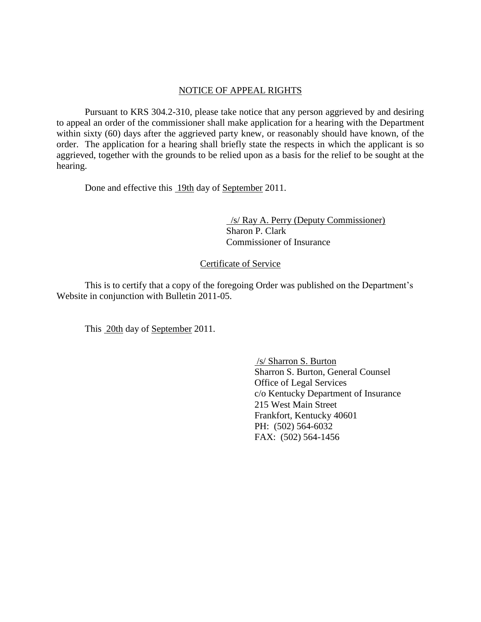## NOTICE OF APPEAL RIGHTS

Pursuant to KRS 304.2-310, please take notice that any person aggrieved by and desiring to appeal an order of the commissioner shall make application for a hearing with the Department within sixty (60) days after the aggrieved party knew, or reasonably should have known, of the order. The application for a hearing shall briefly state the respects in which the applicant is so aggrieved, together with the grounds to be relied upon as a basis for the relief to be sought at the hearing.

Done and effective this 19th day of September 2011.

 /s/ Ray A. Perry (Deputy Commissioner) Sharon P. Clark Commissioner of Insurance

## Certificate of Service

This is to certify that a copy of the foregoing Order was published on the Department's Website in conjunction with Bulletin 2011-05.

This 20th day of September 2011.

/s/ Sharron S. Burton Sharron S. Burton, General Counsel Office of Legal Services c/o Kentucky Department of Insurance 215 West Main Street Frankfort, Kentucky 40601 PH: (502) 564-6032 FAX: (502) 564-1456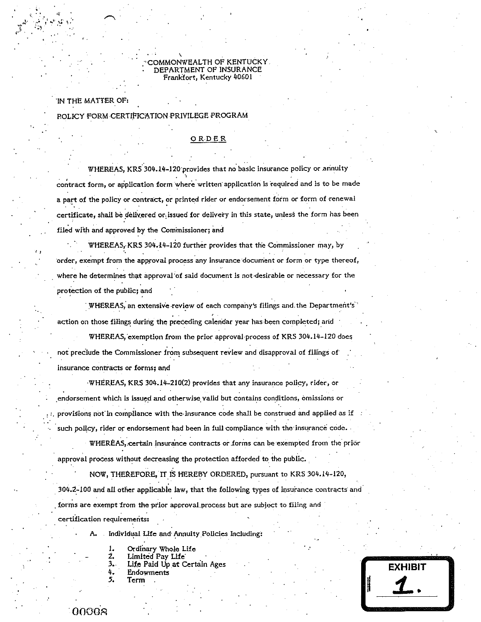#### COMMONWEALTH OF KENTUCKY DEPARTMENT OF INSURANCE Frankfort, Kentucky 40601

IN THE MATTER OF:

POLICY FORM CERTIFICATION PRIVILEGE PROGRAM

#### ORDER

WHEREAS, KRS 304.14-120 provides that no basic insurance policy or annuity contract form, or application form where written application is required and is to be made a part of the policy or contract, or printed rider or endorsement form or form of renewal certificate, shall be delivered or issued for delivery in this state, unless the form has been filed with and approved by the Commissioner; and

WHEREAS, KRS 304.14-120 further provides that the Commissioner may, by order, exempt from the approval process any insurance document or form or type thereof, where he determines that approval of said document is not desirable or necessary for the protection of the public; and

WHEREAS, an extensive review of each company's filings and the Department's action on those filings during the preceding calendar year has been completed; and

WHEREAS, exemption from the prior approval process of KRS 304.14-120 does not preclude the Commissioner from subsequent review and disapproval of filings of insurance contracts or forms; and

WHEREAS, KRS 304.14-210(2) provides that any insurance policy, rider, or endorsement which is issued and otherwise valid but contains conditions, omissions or provisions not in compliance with the insurance code shall be construed and applied as if such policy, rider or endorsement had been in full compliance with the insurance code.

WHEREAS, certain insurance contracts or forms can be exempted from the prior approval process without decreasing the protection afforded to the public.

NOW, THEREFORE, IT IS HEREBY ORDERED, pursuant to KRS 304.14-120, 304.2-100 and all other applicable law, that the following types of insurance contracts and forms are exempt from the prior approval process but are subject to filing and certification requirements:

> Individual Life and Annuity Policies Including: А.

- 
- Ordinary Whole Life<br>Limited Pay Life Ź.
- $3.1$ Life Paid Up at Certain Ages
- 4. Endowments
- 5. Term

**EXHIBIT** 

00008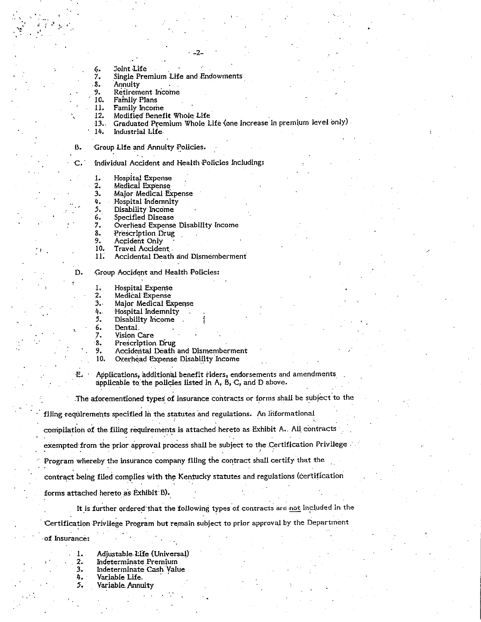- Joint Life 6. 7.
	- Single Premium Life and Endowments

 $-2-$ 

- 8. Annuity
- 9. Retirement Income

10. Family Plans

- 11. Family Income
- 12. Modified Benefit Whole Life
- Graduated Premium Whole Life (one increase in premium level only)  $13.$
- 14. Industrial Life

 $\mathsf{C}$ .

D.

**E.** 

в. Group Life and Annuity Policies.

Individual Accident and Health Policies Including:

Hospital Expense 1.

- 2. Medical Expense
- 3. Major Medical Expense
- Hospital Indemnity 4.
- 5. Disability Income
- 6. Specified Disease
- Overhead Expense Disability Income 7.
- 8. Prescription Drug
- 9. Accident Only
- $10.$ Travel Accident
- $11.$ Accidental Death and Dismemberment

Group Accident and Health Policies:

- Hospital Expense 1.
- Medical Expense  $2.$
- 3. Major Medical Expense
- Hospital Indemnity 4.,
- Disability Income 5.
- 6. Dental.
- $\overline{7}$ . Vision Care
- 8. Prescription Drug
- 9. Accidental Death and Dismemberment
- 10. Overhead Expense Disability Income

Applications, additional benefit riders, endorsements and amendments applicable to the policies listed in A, B, C, and D above.

The aforementioned types of insurance contracts or forms shall be subject to the

filing requirements specified in the statutes and regulations. An informational

compilation of the filing requirements is attached hereto as Exhibit A. All contracts

exempted from the prior approval process shall be subject to the Certification Privilege

Program whereby the insurance company filing the contract shall certify that the

contract being filed complies with the Kentucky statutes and regulations (certification

forms attached hereto as Exhibit B).

It is further ordered that the following types of contracts are not included in the Certification Privilege Program but remain subject to prior approval by the Department of Insurance:

- Adjustable Life (Universal) Indeterminate Premium 2.
- $3.$ Indeterminate Cash Value
- 4. Variable Life.
- 5. Variable Annuity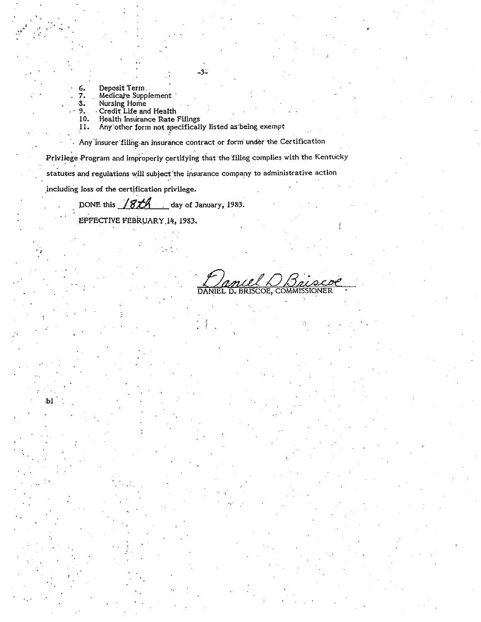- 
- Deposit Term<br>Medicare Supplement<br>Nursing Home<br>Credit Life and Health
- $\ddot{\mathbf{3}}$ .

6. 7.

Ъl

- 9. 10.
- Health Insurance Rate Filings<br>Any other form not specifically listed as being exempt II.

Any Insurer filling an insurance contract or form under the Certification

 $-3-$ 

Privilege Program and improperly certifying that the filing complies with the Kentucky statutes and regulations will subject the insurance company to administrative action

including loss of the certification privilege.

DONE this 18th day of January, 1983.

EFFECTIVE FEBRUARY 14, 1983.

 $m/s$ BRISCOE, COMM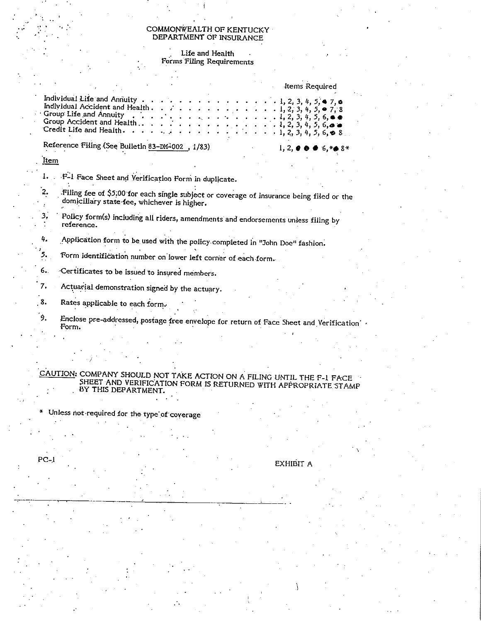# COMMONWEALTH OF KENTUCKY<br>DEPARTMENT OF INSURANCE

Life and Health<br>Forms Filing Requirements

|      | <b>Items Required</b>                                                                                                                                                                                                                                                                                                                                                                                                                                                                                                                                                                                                                                                                                                                                                                                                                       |
|------|---------------------------------------------------------------------------------------------------------------------------------------------------------------------------------------------------------------------------------------------------------------------------------------------------------------------------------------------------------------------------------------------------------------------------------------------------------------------------------------------------------------------------------------------------------------------------------------------------------------------------------------------------------------------------------------------------------------------------------------------------------------------------------------------------------------------------------------------|
|      | Individual Life and Annuity $\cdots$ $\cdots$ $\cdots$ $\cdots$ $\cdots$ $\cdots$ $\cdots$ $\cdots$ $\cdots$ $\cdots$ $\cdots$ $\cdots$ $\cdots$ $\cdots$ $\cdots$ $\cdots$ $\cdots$ $\cdots$ $\cdots$ $\cdots$ $\cdots$ $\cdots$ $\cdots$ $\cdots$ $\cdots$ $\cdots$ $\cdots$ $\cdots$ $\cdots$ $\cdots$ $\cdots$ $\cdots$<br>Individual Accident and Health. 1, 2, 3, 4, 5, $\bullet$ 7, 8<br>Group Life and Annuity $\cdots$ $\cdots$ $\cdots$ $\cdots$ $\cdots$ $\cdots$ $\cdots$ $\cdots$ $\cdots$ $\cdots$ $\cdots$ $\cdots$ $\cdots$ $\cdots$ $\cdots$ $\cdots$ $\cdots$ $\cdots$ $\cdots$ $\cdots$ $\cdots$ $\cdots$ $\cdots$ $\cdots$ $\cdots$ $\cdots$ $\cdots$ $\cdots$ $\cdots$ $\cdots$ $\cdots$ $\cdots$ $\cdots$<br>Group Accident and Health<br>Credit Life and Health.<br>$3 + 1 + 2 + 3 + 4 + 5 + 1, 2, 3, 4, 5, 6, 6, 8$ |
|      | Reference Filing (See Bulletin 83-DM-002, 1/83).<br>$1, 2, 0, 0, 0, 6, *$ 0 8*                                                                                                                                                                                                                                                                                                                                                                                                                                                                                                                                                                                                                                                                                                                                                              |
| Item |                                                                                                                                                                                                                                                                                                                                                                                                                                                                                                                                                                                                                                                                                                                                                                                                                                             |
|      | 1. F-1 Face Sheet and Verification Form in duplicate.                                                                                                                                                                                                                                                                                                                                                                                                                                                                                                                                                                                                                                                                                                                                                                                       |
| 2.   | Filing fee of \$5,00 for each single subject or coverage of insurance being filed or the<br>domiciliary state fee, whichever is higher.                                                                                                                                                                                                                                                                                                                                                                                                                                                                                                                                                                                                                                                                                                     |
| з,   | Policy form(s) including all riders, amendments and endorsements unless filing by<br>reference.                                                                                                                                                                                                                                                                                                                                                                                                                                                                                                                                                                                                                                                                                                                                             |
| 4.   | Application form to be used with the policy completed in "John Doe" fashion.                                                                                                                                                                                                                                                                                                                                                                                                                                                                                                                                                                                                                                                                                                                                                                |
| 5.   | Form identification number on lower left corner of each form.                                                                                                                                                                                                                                                                                                                                                                                                                                                                                                                                                                                                                                                                                                                                                                               |
| 5.   | Certificates to be issued to insured members.                                                                                                                                                                                                                                                                                                                                                                                                                                                                                                                                                                                                                                                                                                                                                                                               |
| 7.   | Actuarial demonstration signed by the actuary.                                                                                                                                                                                                                                                                                                                                                                                                                                                                                                                                                                                                                                                                                                                                                                                              |
| Ŝ.   | Rates applicable to each form.                                                                                                                                                                                                                                                                                                                                                                                                                                                                                                                                                                                                                                                                                                                                                                                                              |
| ż.   | Enclose pre-addressed, postage free envelope for return of Face Sheet and Verification .<br>Form.                                                                                                                                                                                                                                                                                                                                                                                                                                                                                                                                                                                                                                                                                                                                           |
|      |                                                                                                                                                                                                                                                                                                                                                                                                                                                                                                                                                                                                                                                                                                                                                                                                                                             |

CAUTION: COMPANY SHOULD NOT TAKE ACTION ON A FILING UNTIL THE F-1 FACE SHEET AND VERIFICATION FORM IS RETURNED WITH APPROPRIATE STAMP BY THIS DEPARTMENT.

Unless not required for the type of coverage  $\star$ 

 $PC-1$ 

EXHIBIT A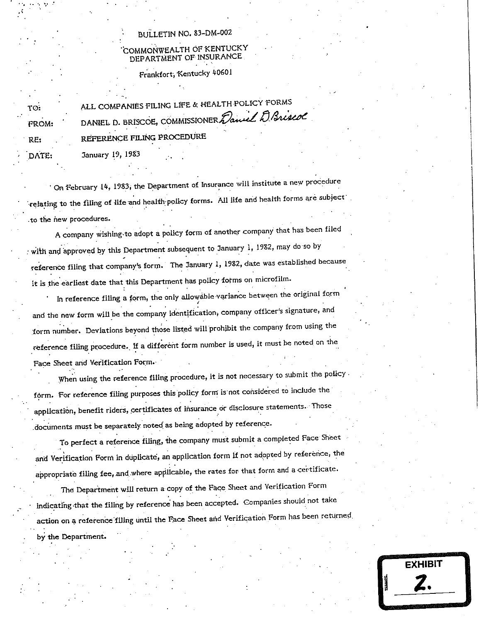## **BULLETIN NO. 83-DM-002**

## COMMONWEALTH OF KENTUCKY DEPARTMENT OF INSURANCE

Frankfort, Kentucky 40601

| TO:          | ALL COMPANIES FILING LIFE & HEALTH POLICY FORMS   |
|--------------|---------------------------------------------------|
| <b>FROM:</b> | DANIEL D. BRISCOE, COMMISSIONER Daniel D. Briscol |
| RF:          | REFERENCE FILING PROCEDURE                        |

January 19, 1983

DATE:

On February 14, 1983, the Department of Insurance will institute a new procedure relating to the filing of life and health policy forms. All life and health forms are subject to the new procedures.

A company wishing to adopt a policy form of another company that has been filed with and approved by this Department subsequent to January 1, 1982, may do so by reference filing that company's form. The January 1, 1982, date was established because it is the earliest date that this Department has policy forms on microfilm.

In reference filing a form, the only allowable variance between the original form and the new form will be the company identification, company officer's signature, and form number. Deviations beyond those listed will prohibit the company from using the reference filing procedure. If a different form number is used, it must be noted on the Face Sheet and Verification Form.

When using the reference filing procedure, it is not necessary to submit the policy form. For reference filing purposes this policy form is not considered to include the application, benefit riders, certificates of insurance or disclosure statements. Those documents must be separately noted as being adopted by reference.

To perfect a reference filing, the company must submit a completed Face Sheet and Verification Form in duplicate, an application form if not adopted by reference, the appropriate filing fee, and where applicable, the rates for that form and a certificate.

The Department will return a copy of the Face Sheet and Verification Form indicating that the filing by reference has been accepted. Companies should not take action on a reference filling until the Face Sheet and Verification Form has been returned. by the Department.

**EXHIBIT**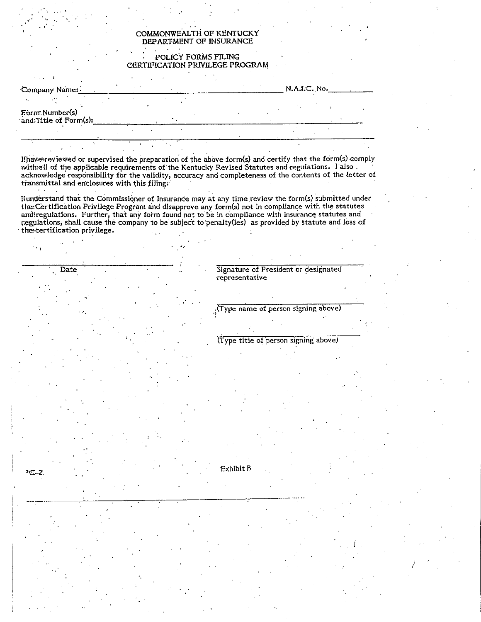#### COMMONWEALTH OF KENTUCKY DEPARTMENT OF INSURANCE

#### POLICY FORMS FILING CERTIFICATION PRIVILEGE PROGRAM

| Company Name:                           |  |  | N.A.I.C. No. |
|-----------------------------------------|--|--|--------------|
|                                         |  |  |              |
| Form Number(s)<br>and Title of Form(s): |  |  |              |
|                                         |  |  |              |

If have reviewed or supervised the preparation of the above form(s) and certify that the form(s) comply with all of the applicable requirements of the Kentucky Revised Statutes and regulations. I also. acknowledge responsibility for the validity, accuracy and completeness of the contents of the letter of transmittal and enclosures with this filing.

Ilunderstand that the Commissioner of Insurance may at any time review the form(s) submitted under the Certification Privilege Program and disapprove any form(s) not in compliance with the statutes and regulations. Further, that any form found not to be in compliance with insurance statutes and regulations, shall cause the company to be subject to penalty(ies) as provided by statute and loss of the certification privilege.

Date

Signature of President or designated representative

Type name of person signing above).

(Type title of person signing above)

 $C - 2$ 

Exhibit B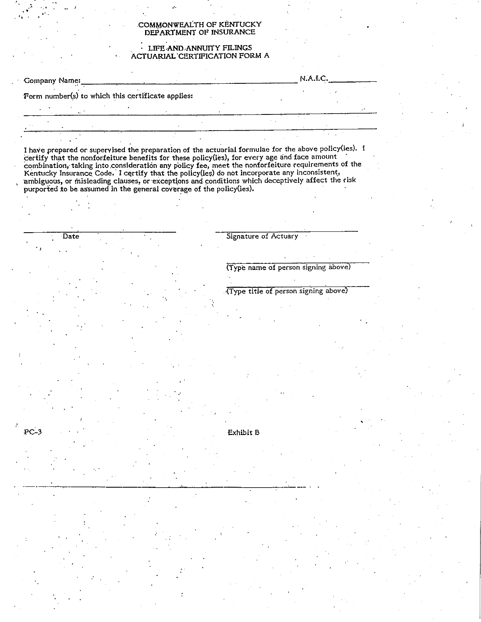#### COMMONWEALTH OF KENTUCKY DEPARTMENT OF INSURANCE

#### LIFE AND ANNUITY FILINGS ACTUARIAL CERTIFICATION FORM A

| Company Name:                                     |  |  | N.A.I.C. |  |
|---------------------------------------------------|--|--|----------|--|
| Form number(s) to which this certificate applies: |  |  |          |  |
|                                                   |  |  |          |  |
|                                                   |  |  |          |  |
|                                                   |  |  |          |  |

I have prepared or supervised the preparation of the actuarial formulae for the above policy(ies). I certify that the nonforfeiture benefits for these policy(ies), for every age and face amount combination, taking into con

Date

 $PC-3$ 

Signature of Actuary

(Type name of person signing above)

(Type title of person signing above)

Exhibit B